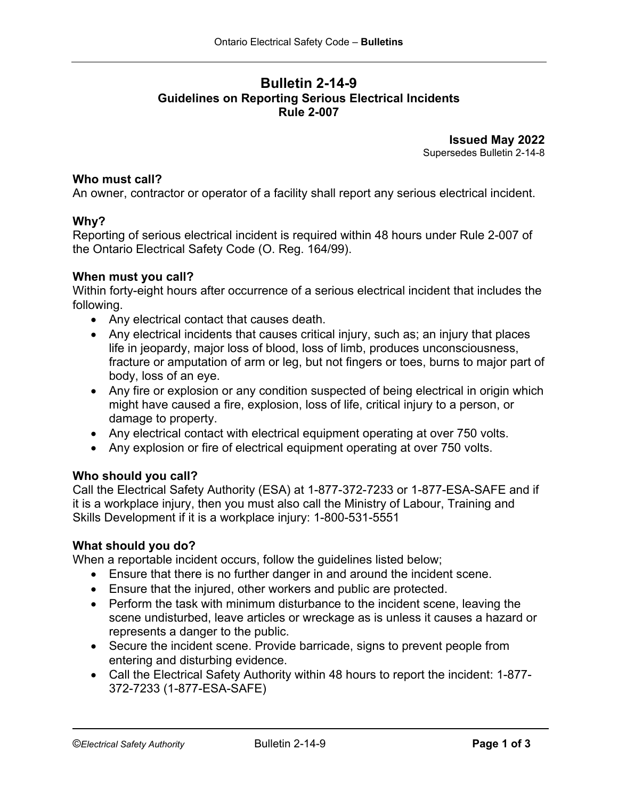## **Bulletin 2-14-9 Guidelines on Reporting Serious Electrical Incidents Rule 2-007**

**Issued May 2022** Supersedes Bulletin 2-14-8

#### **Who must call?**

An owner, contractor or operator of a facility shall report any serious electrical incident.

#### **Why?**

Reporting of serious electrical incident is required within 48 hours under Rule 2-007 of the Ontario Electrical Safety Code (O. Reg. 164/99).

#### **When must you call?**

Within forty-eight hours after occurrence of a serious electrical incident that includes the following.

- Any electrical contact that causes death.
- Any electrical incidents that causes critical injury, such as; an injury that places life in jeopardy, major loss of blood, loss of limb, produces unconsciousness, fracture or amputation of arm or leg, but not fingers or toes, burns to major part of body, loss of an eye.
- Any fire or explosion or any condition suspected of being electrical in origin which might have caused a fire, explosion, loss of life, critical injury to a person, or damage to property.
- Any electrical contact with electrical equipment operating at over 750 volts.
- Any explosion or fire of electrical equipment operating at over 750 volts.

## **Who should you call?**

Call the Electrical Safety Authority (ESA) at 1-877-372-7233 or 1-877-ESA-SAFE and if it is a workplace injury, then you must also call the Ministry of Labour, Training and Skills Development if it is a workplace injury: 1-800-531-5551

## **What should you do?**

When a reportable incident occurs, follow the guidelines listed below;

- Ensure that there is no further danger in and around the incident scene.
- Ensure that the injured, other workers and public are protected.
- Perform the task with minimum disturbance to the incident scene, leaving the scene undisturbed, leave articles or wreckage as is unless it causes a hazard or represents a danger to the public.
- Secure the incident scene. Provide barricade, signs to prevent people from entering and disturbing evidence.
- Call the Electrical Safety Authority within 48 hours to report the incident: 1-877- 372-7233 (1-877-ESA-SAFE)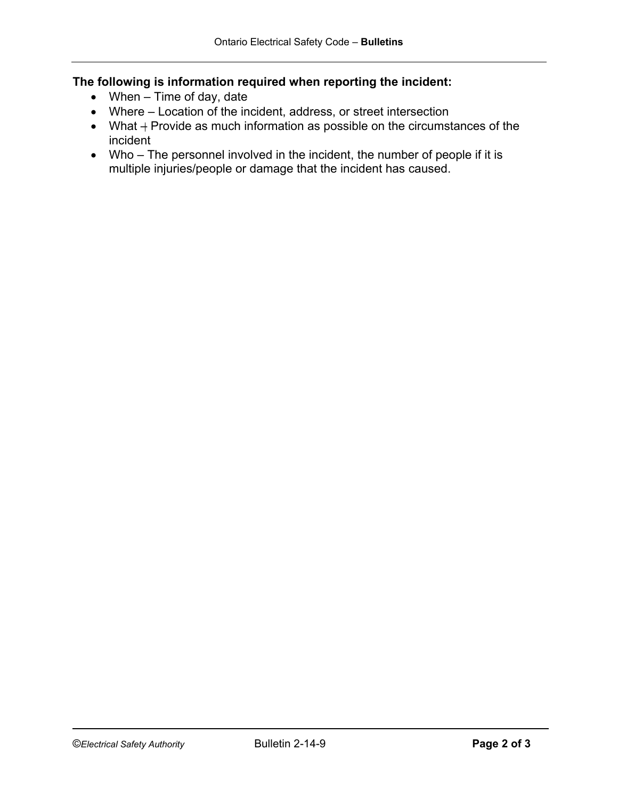# **The following is information required when reporting the incident:**

- When Time of day, date
- Where Location of the incident, address, or street intersection
- What + Provide as much information as possible on the circumstances of the incident
- Who The personnel involved in the incident, the number of people if it is multiple injuries/people or damage that the incident has caused.